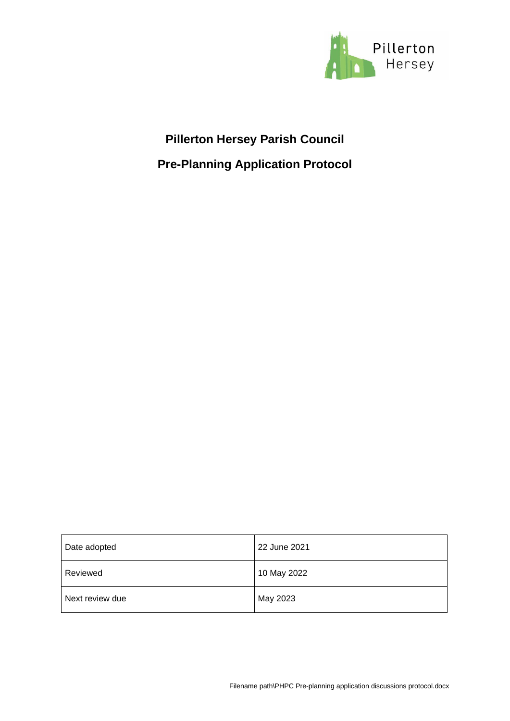

## **Pillerton Hersey Parish Council**

**Pre-Planning Application Protocol**

| Date adopted    | 22 June 2021 |
|-----------------|--------------|
| Reviewed        | 10 May 2022  |
| Next review due | May 2023     |